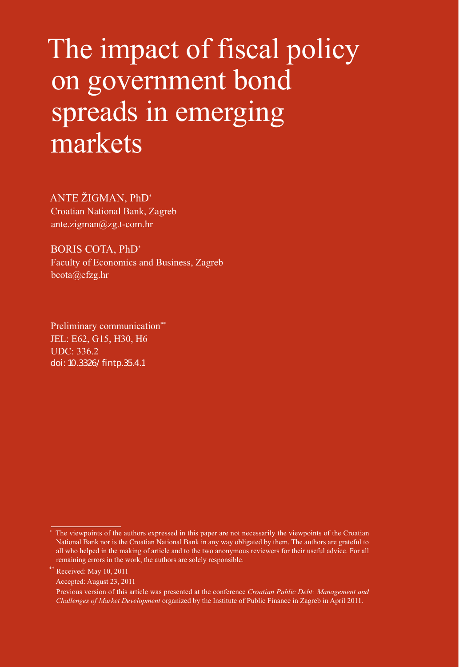# The impact of fiscal policy on government bond spreads in emerging markets

ANTE ŽIGMAN, PhD\* Croatian National Bank, Zagreb ante.zigman@zg.t-com.hr

BORIS COTA, PhD\* Faculty of Economics and Business, Zagreb bcota@efzg.hr

Preliminary communication\*\* JEL: E62, G15, H30, H6 UDC: 336.2 [doi: 10.3326/fintp.35.4.1](http://dx.doi.org/10.3326/fintp.35.4.1)

Received: May 10, 2011

Accepted: August 23, 2011

<sup>\*</sup> The viewpoints of the authors expressed in this paper are not necessarily the viewpoints of the Croatian National Bank nor is the Croatian National Bank in any way obligated by them. The authors are grateful to all who helped in the making of article and to the two anonymous reviewers for their useful advice. For all remaining errors in the work, the authors are solely responsible.

Previous version of this article was presented at the conference *Croatian Public Debt: Management and Challenges of Market Development* organized by the Institute of Public Finance in Zagreb in April 2011.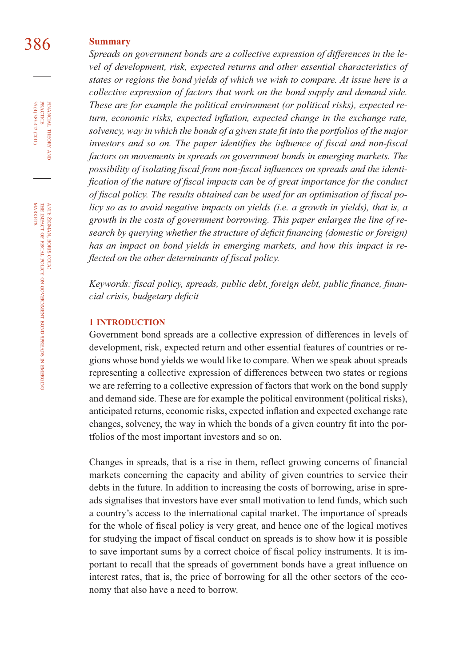#### 386 **Summary**

*Spreads on government bonds are a collective expression of differences in the level of development, risk, expected returns and other essential characteristics of states or regions the bond yields of which we wish to compare. At issue here is a collective expression of factors that work on the bond supply and demand side. These are for example the political environment (or political risks), expected re*turn, economic risks, expected inflation, expected change in the exchange rate, *solvency, way in which the bonds of a given state fi t into the portfolios of the major investors and so on. The paper identifies the influence of fiscal and non-fiscal factors on movements in spreads on government bonds in emerging markets. The*  possibility of isolating fiscal from non-fiscal influences on spreads and the identi*fication of the nature of fiscal impacts can be of great importance for the conduct* of fiscal policy. The results obtained can be used for an optimisation of fiscal po*licy so as to avoid negative impacts on yields (i.e. a growth in yields), that is, a growth in the costs of government borrowing. This paper enlarges the line of research by querying whether the structure of deficit financing (domestic or foreign) has an impact on bond yields in emerging markets, and how this impact is reflected on the other determinants of fiscal policy.* 

Keywords: fiscal policy, spreads, public debt, foreign debt, public finance, finan $cial$  crisis, budgetary deficit

#### **1 INTRODUCTION**

Government bond spreads are a collective expression of differences in levels of development, risk, expected return and other essential features of countries or regions whose bond yields we would like to compare. When we speak about spreads representing a collective expression of differences between two states or regions we are referring to a collective expression of factors that work on the bond supply and demand side. These are for example the political environment (political risks), anticipated returns, economic risks, expected inflation and expected exchange rate changes, solvency, the way in which the bonds of a given country fi t into the portfolios of the most important investors and so on.

Changes in spreads, that is a rise in them, reflect growing concerns of financial markets concerning the capacity and ability of given countries to service their debts in the future. In addition to increasing the costs of borrowing, arise in spreads signalises that investors have ever small motivation to lend funds, which such a country's access to the international capital market. The importance of spreads for the whole of fiscal policy is very great, and hence one of the logical motives for studying the impact of fiscal conduct on spreads is to show how it is possible to save important sums by a correct choice of fiscal policy instruments. It is important to recall that the spreads of government bonds have a great influence on interest rates, that is, the price of borrowing for all the other sectors of the economy that also have a need to borrow.

FINANCIAL THEORY AND PRACTICE 35 (4) 385-412 (2011) 35 (4) 385-412 (2011) PRACTICE FINANCIAL THEORY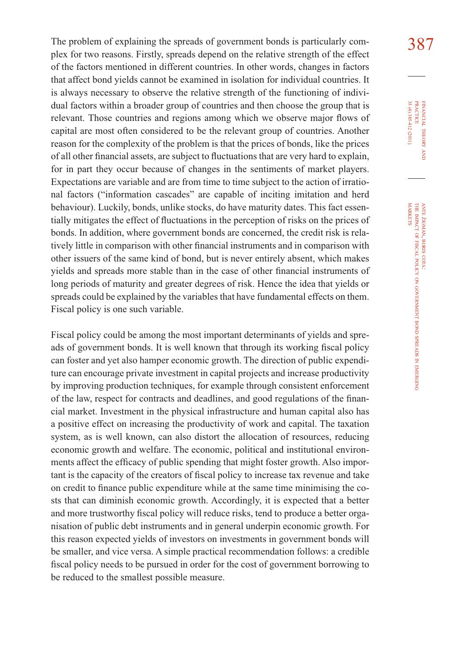The problem of explaining the spreads of government bonds is particularly com-<br>387 plex for two reasons. Firstly, spreads depend on the relative strength of the effect of the factors mentioned in different countries. In other words, changes in factors that affect bond yields cannot be examined in isolation for individual countries. It is always necessary to observe the relative strength of the functioning of individual factors within a broader group of countries and then choose the group that is relevant. Those countries and regions among which we observe major flows of capital are most often considered to be the relevant group of countries. Another reason for the complexity of the problem is that the prices of bonds, like the prices of all other financial assets, are subject to fluctuations that are very hard to explain, for in part they occur because of changes in the sentiments of market players. Expectations are variable and are from time to time subject to the action of irrational factors ("information cascades" are capable of inciting imitation and herd behaviour). Luckily, bonds, unlike stocks, do have maturity dates. This fact essentially mitigates the effect of fluctuations in the perception of risks on the prices of bonds. In addition, where government bonds are concerned, the credit risk is relatively little in comparison with other financial instruments and in comparison with other issuers of the same kind of bond, but is never entirely absent, which makes yields and spreads more stable than in the case of other financial instruments of long periods of maturity and greater degrees of risk. Hence the idea that yields or spreads could be explained by the variables that have fundamental effects on them. Fiscal policy is one such variable.

Fiscal policy could be among the most important determinants of yields and spreads of government bonds. It is well known that through its working fiscal policy can foster and yet also hamper economic growth. The direction of public expenditure can encourage private investment in capital projects and increase productivity by improving production techniques, for example through consistent enforcement of the law, respect for contracts and deadlines, and good regulations of the financial market. Investment in the physical infrastructure and human capital also has a positive effect on increasing the productivity of work and capital. The taxation system, as is well known, can also distort the allocation of resources, reducing economic growth and welfare. The economic, political and institutional environments affect the efficacy of public spending that might foster growth. Also important is the capacity of the creators of fiscal policy to increase tax revenue and take on credit to finance public expenditure while at the same time minimising the costs that can diminish economic growth. Accordingly, it is expected that a better and more trustworthy fiscal policy will reduce risks, tend to produce a better organisation of public debt instruments and in general underpin economic growth. For this reason expected yields of investors on investments in government bonds will be smaller, and vice versa. A simple practical recommendation follows: a credible fiscal policy needs to be pursued in order for the cost of government borrowing to be reduced to the smallest possible measure.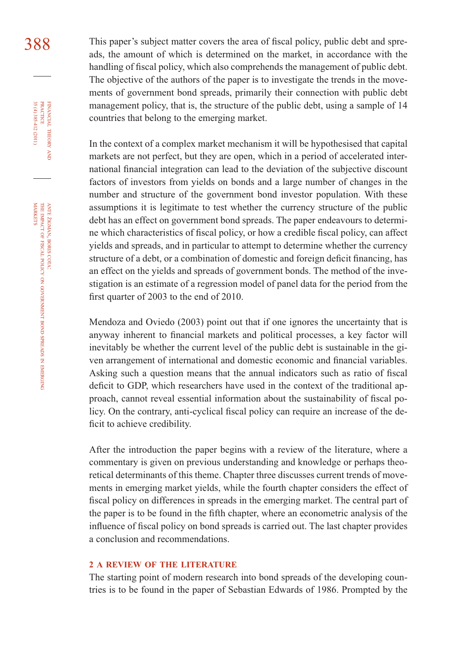388 This paper's subject matter covers the area of fiscal policy, public debt and spreads, the amount of which is determined on the market, in accordance with the handling of fiscal policy, which also comprehends the management of public debt. The objective of the authors of the paper is to investigate the trends in the movements of government bond spreads, primarily their connection with public debt management policy, that is, the structure of the public debt, using a sample of 14 countries that belong to the emerging market.

> In the context of a complex market mechanism it will be hypothesised that capital markets are not perfect, but they are open, which in a period of accelerated international financial integration can lead to the deviation of the subjective discount factors of investors from yields on bonds and a large number of changes in the number and structure of the government bond investor population. With these assumptions it is legitimate to test whether the currency structure of the public debt has an effect on government bond spreads. The paper endeavours to determine which characteristics of fiscal policy, or how a credible fiscal policy, can affect yields and spreads, and in particular to attempt to determine whether the currency structure of a debt, or a combination of domestic and foreign deficit financing, has an effect on the yields and spreads of government bonds. The method of the investigation is an estimate of a regression model of panel data for the period from the first quarter of 2003 to the end of 2010.

> Mendoza and Oviedo (2003) point out that if one ignores the uncertainty that is anyway inherent to financial markets and political processes, a key factor will inevitably be whether the current level of the public debt is sustainable in the given arrangement of international and domestic economic and financial variables. Asking such a question means that the annual indicators such as ratio of fiscal deficit to GDP, which researchers have used in the context of the traditional approach, cannot reveal essential information about the sustainability of fiscal policy. On the contrary, anti-cyclical fiscal policy can require an increase of the deficit to achieve credibility.

> After the introduction the paper begins with a review of the literature, where a commentary is given on previous understanding and knowledge or perhaps theoretical determinants of this theme. Chapter three discusses current trends of movements in emerging market yields, while the fourth chapter considers the effect of fiscal policy on differences in spreads in the emerging market. The central part of the paper is to be found in the fifth chapter, where an econometric analysis of the influence of fiscal policy on bond spreads is carried out. The last chapter provides a conclusion and recommendations.

#### **2 A REVIEW OF THE LITERATURE**

The starting point of modern research into bond spreads of the developing countries is to be found in the paper of Sebastian Edwards of 1986. Prompted by the

FINANCIAL

35 (4) 385-412 (2011)

THEORY FINANCIAL THEORY AND PRACTICE 35 (4) 385-412 (2011) PRACTICE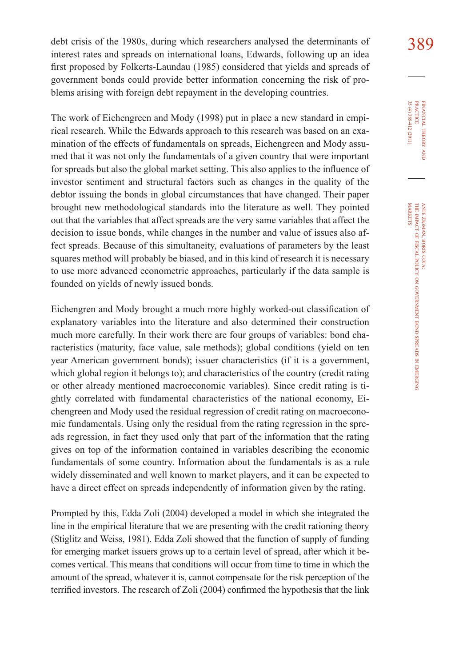debt crisis of the 1980s, during which researchers analysed the determinants of 389 interest rates and spreads on international loans, Edwards, following up an idea first proposed by Folkerts-Laundau (1985) considered that yields and spreads of government bonds could provide better information concerning the risk of problems arising with foreign debt repayment in the developing countries.

The work of Eichengreen and Mody (1998) put in place a new standard in empirical research. While the Edwards approach to this research was based on an examination of the effects of fundamentals on spreads, Eichengreen and Mody assumed that it was not only the fundamentals of a given country that were important for spreads but also the global market setting. This also applies to the influence of investor sentiment and structural factors such as changes in the quality of the debtor issuing the bonds in global circumstances that have changed. Their paper brought new methodological standards into the literature as well. They pointed out that the variables that affect spreads are the very same variables that affect the decision to issue bonds, while changes in the number and value of issues also affect spreads. Because of this simultaneity, evaluations of parameters by the least squares method will probably be biased, and in this kind of research it is necessary to use more advanced econometric approaches, particularly if the data sample is founded on yields of newly issued bonds.

Eichengren and Mody brought a much more highly worked-out classification of explanatory variables into the literature and also determined their construction much more carefully. In their work there are four groups of variables: bond characteristics (maturity, face value, sale methods); global conditions (yield on ten year American government bonds); issuer characteristics (if it is a government, which global region it belongs to); and characteristics of the country (credit rating or other already mentioned macroeconomic variables). Since credit rating is tightly correlated with fundamental characteristics of the national economy, Eichengreen and Mody used the residual regression of credit rating on macroeconomic fundamentals. Using only the residual from the rating regression in the spreads regression, in fact they used only that part of the information that the rating gives on top of the information contained in variables describing the economic fundamentals of some country. Information about the fundamentals is as a rule widely disseminated and well known to market players, and it can be expected to have a direct effect on spreads independently of information given by the rating.

Prompted by this, Edda Zoli (2004) developed a model in which she integrated the line in the empirical literature that we are presenting with the credit rationing theory (Stiglitz and Weiss, 1981). Edda Zoli showed that the function of supply of funding for emerging market issuers grows up to a certain level of spread, after which it becomes vertical. This means that conditions will occur from time to time in which the amount of the spread, whatever it is, cannot compensate for the risk perception of the terrified investors. The research of Zoli (2004) confirmed the hypothesis that the link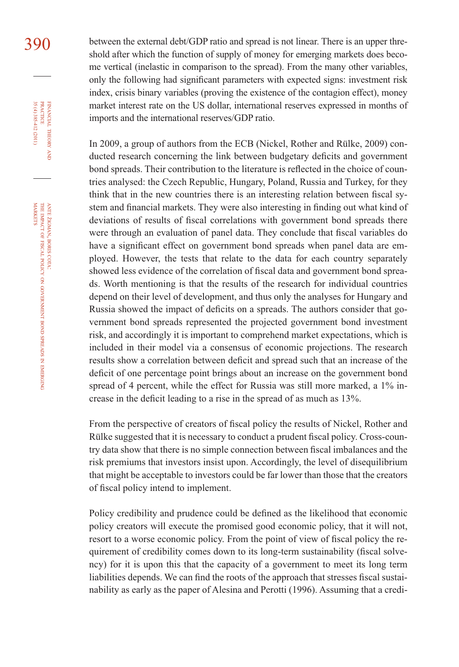390 between the external debt/GDP ratio and spread is not linear. There is an upper threshold after which the function of supply of money for emerging markets does become vertical (inelastic in comparison to the spread). From the many other variables, only the following had significant parameters with expected signs: investment risk index, crisis binary variables (proving the existence of the contagion effect), money market interest rate on the US dollar, international reserves expressed in months of imports and the international reserves/GDP ratio.

> In 2009, a group of authors from the ECB (Nickel, Rother and Rülke, 2009) conducted research concerning the link between budgetary deficits and government bond spreads. Their contribution to the literature is reflected in the choice of countries analysed: the Czech Republic, Hungary, Poland, Russia and Turkey, for they think that in the new countries there is an interesting relation between fiscal system and financial markets. They were also interesting in finding out what kind of deviations of results of fiscal correlations with government bond spreads there were through an evaluation of panel data. They conclude that fiscal variables do have a significant effect on government bond spreads when panel data are employed. However, the tests that relate to the data for each country separately showed less evidence of the correlation of fiscal data and government bond spreads. Worth mentioning is that the results of the research for individual countries depend on their level of development, and thus only the analyses for Hungary and Russia showed the impact of deficits on a spreads. The authors consider that government bond spreads represented the projected government bond investment risk, and accordingly it is important to comprehend market expectations, which is included in their model via a consensus of economic projections. The research results show a correlation between deficit and spread such that an increase of the deficit of one percentage point brings about an increase on the government bond spread of 4 percent, while the effect for Russia was still more marked, a 1% increase in the deficit leading to a rise in the spread of as much as 13%.

> From the perspective of creators of fiscal policy the results of Nickel, Rother and Rülke suggested that it is necessary to conduct a prudent fiscal policy. Cross-country data show that there is no simple connection between fiscal imbalances and the risk premiums that investors insist upon. Accordingly, the level of disequilibrium that might be acceptable to investors could be far lower than those that the creators of fiscal policy intend to implement.

> Policy credibility and prudence could be defined as the likelihood that economic policy creators will execute the promised good economic policy, that it will not, resort to a worse economic policy. From the point of view of fiscal policy the requirement of credibility comes down to its long-term sustainability (fiscal solvency) for it is upon this that the capacity of a government to meet its long term liabilities depends. We can find the roots of the approach that stresses fiscal sustainability as early as the paper of Alesina and Perotti (1996). Assuming that a credi-

FINANCIAL

35 (4) 385-412 (2011)

THEORY FINANCIAL THEORY AND PRACTICE 35 (4) 385-412 (2011) PRACTICE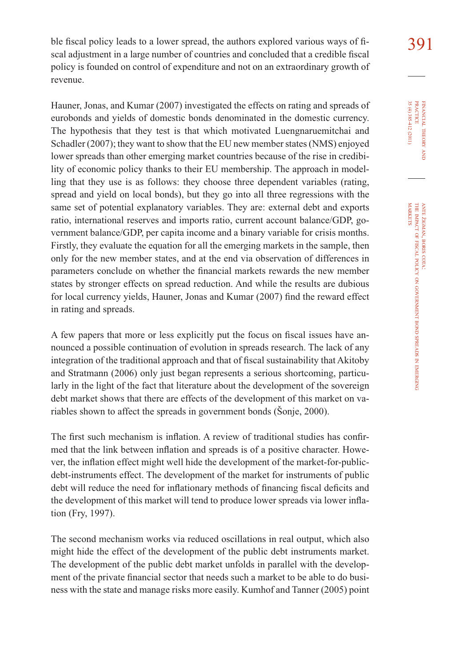ble fiscal policy leads to a lower spread, the authors explored various ways of fi $\sim$  391 scal adjustment in a large number of countries and concluded that a credible fiscal policy is founded on control of expenditure and not on an extraordinary growth of revenue.

Hauner, Jonas, and Kumar (2007) investigated the effects on rating and spreads of eurobonds and yields of domestic bonds denominated in the domestic currency. The hypothesis that they test is that which motivated Luengnaruemitchai and Schadler (2007); they want to show that the EU new member states (NMS) enjoyed lower spreads than other emerging market countries because of the rise in credibility of economic policy thanks to their EU membership. The approach in modelling that they use is as follows: they choose three dependent variables (rating, spread and yield on local bonds), but they go into all three regressions with the same set of potential explanatory variables. They are: external debt and exports ratio, international reserves and imports ratio, current account balance/GDP, government balance/GDP, per capita income and a binary variable for crisis months. Firstly, they evaluate the equation for all the emerging markets in the sample, then only for the new member states, and at the end via observation of differences in parameters conclude on whether the financial markets rewards the new member states by stronger effects on spread reduction. And while the results are dubious for local currency yields, Hauner, Jonas and Kumar (2007) find the reward effect in rating and spreads.

A few papers that more or less explicitly put the focus on fiscal issues have announced a possible continuation of evolution in spreads research. The lack of any integration of the traditional approach and that of fiscal sustainability that Akitoby and Stratmann (2006) only just began represents a serious shortcoming, particularly in the light of the fact that literature about the development of the sovereign debt market shows that there are effects of the development of this market on variables shown to affect the spreads in government bonds (Šonje, 2000).

The first such mechanism is inflation. A review of traditional studies has confirmed that the link between inflation and spreads is of a positive character. However, the inflation effect might well hide the development of the market-for-publicdebt-instruments effect. The development of the market for instruments of public debt will reduce the need for inflationary methods of financing fiscal deficits and the development of this market will tend to produce lower spreads via lower inflation (Fry, 1997).

The second mechanism works via reduced oscillations in real output, which also might hide the effect of the development of the public debt instruments market. The development of the public debt market unfolds in parallel with the development of the private financial sector that needs such a market to be able to do business with the state and manage risks more easily. Kumhof and Tanner (2005) point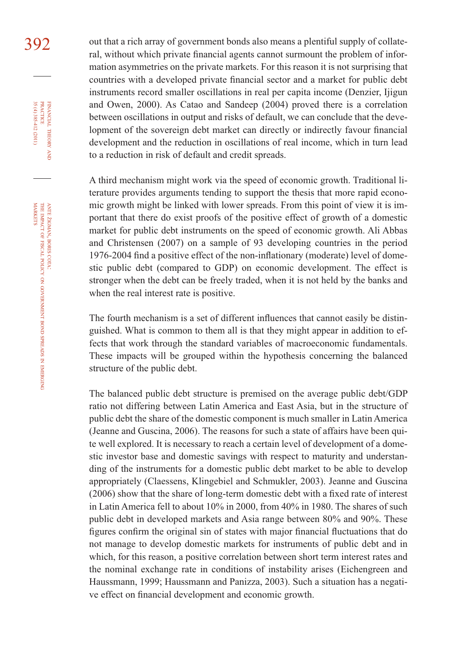392 out that a rich array of government bonds also means a plentiful supply of collateral, without which private financial agents cannot surmount the problem of information asymmetries on the private markets. For this reason it is not surprising that countries with a developed private financial sector and a market for public debt instruments record smaller oscillations in real per capita income (Denzier, Ijigun and Owen, 2000). As Catao and Sandeep (2004) proved there is a correlation between oscillations in output and risks of default, we can conclude that the development of the sovereign debt market can directly or indirectly favour financial development and the reduction in oscillations of real income, which in turn lead to a reduction in risk of default and credit spreads.

> A third mechanism might work via the speed of economic growth. Traditional literature provides arguments tending to support the thesis that more rapid economic growth might be linked with lower spreads. From this point of view it is important that there do exist proofs of the positive effect of growth of a domestic market for public debt instruments on the speed of economic growth. Ali Abbas and Christensen (2007) on a sample of 93 developing countries in the period 1976-2004 find a positive effect of the non-inflationary (moderate) level of domestic public debt (compared to GDP) on economic development. The effect is stronger when the debt can be freely traded, when it is not held by the banks and when the real interest rate is positive.

> The fourth mechanism is a set of different influences that cannot easily be distinguished. What is common to them all is that they might appear in addition to effects that work through the standard variables of macroeconomic fundamentals. These impacts will be grouped within the hypothesis concerning the balanced structure of the public debt.

> The balanced public debt structure is premised on the average public debt/GDP ratio not differing between Latin America and East Asia, but in the structure of public debt the share of the domestic component is much smaller in Latin America (Jeanne and Guscina, 2006). The reasons for such a state of affairs have been quite well explored. It is necessary to reach a certain level of development of a domestic investor base and domestic savings with respect to maturity and understanding of the instruments for a domestic public debt market to be able to develop appropriately (Claessens, Klingebiel and Schmukler, 2003). Jeanne and Guscina  $(2006)$  show that the share of long-term domestic debt with a fixed rate of interest in Latin America fell to about 10% in 2000, from 40% in 1980. The shares of such public debt in developed markets and Asia range between 80% and 90%. These figures confirm the original sin of states with major financial fluctuations that do not manage to develop domestic markets for instruments of public debt and in which, for this reason, a positive correlation between short term interest rates and the nominal exchange rate in conditions of instability arises (Eichengreen and Haussmann, 1999; Haussmann and Panizza, 2003). Such a situation has a negative effect on financial development and economic growth.

FINANCIAL

35 (4) 385-412 (2011)

THEORY FINANCIAL THEORY AND PRACTICE 35 (4) 385-412 (2011) PRACTICE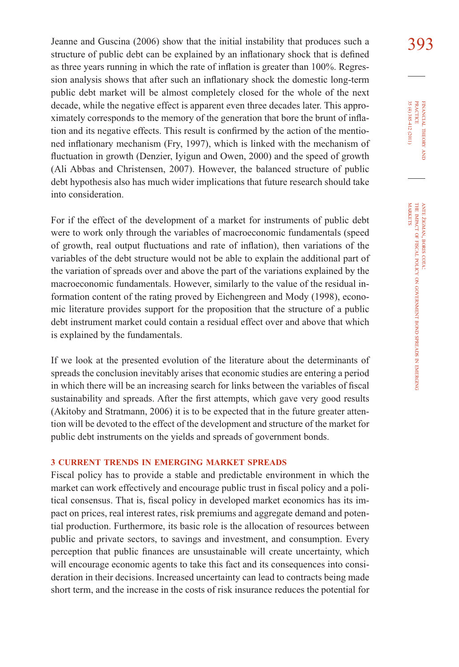Jeanne and Guscina (2006) show that the initial instability that produces such a  $393$ structure of public debt can be explained by an inflationary shock that is defined as three years running in which the rate of inflation is greater than 100%. Regression analysis shows that after such an inflationary shock the domestic long-term public debt market will be almost completely closed for the whole of the next decade, while the negative effect is apparent even three decades later. This approximately corresponds to the memory of the generation that bore the brunt of inflation and its negative effects. This result is confirmed by the action of the mentioned inflationary mechanism (Fry, 1997), which is linked with the mechanism of fluctuation in growth (Denzier, Iyigun and Owen, 2000) and the speed of growth (Ali Abbas and Christensen, 2007). However, the balanced structure of public debt hypothesis also has much wider implications that future research should take into consideration.

For if the effect of the development of a market for instruments of public debt were to work only through the variables of macroeconomic fundamentals (speed of growth, real output fluctuations and rate of inflation), then variations of the variables of the debt structure would not be able to explain the additional part of the variation of spreads over and above the part of the variations explained by the macroeconomic fundamentals. However, similarly to the value of the residual information content of the rating proved by Eichengreen and Mody (1998), economic literature provides support for the proposition that the structure of a public debt instrument market could contain a residual effect over and above that which is explained by the fundamentals.

If we look at the presented evolution of the literature about the determinants of spreads the conclusion inevitably arises that economic studies are entering a period in which there will be an increasing search for links between the variables of fiscal sustainability and spreads. After the first attempts, which gave very good results (Akitoby and Stratmann, 2006) it is to be expected that in the future greater attention will be devoted to the effect of the development and structure of the market for public debt instruments on the yields and spreads of government bonds.

#### **3 CURRENT TRENDS IN EMERGING MARKET SPREADS**

Fiscal policy has to provide a stable and predictable environment in which the market can work effectively and encourage public trust in fiscal policy and a political consensus. That is, fiscal policy in developed market economics has its impact on prices, real interest rates, risk premiums and aggregate demand and potential production. Furthermore, its basic role is the allocation of resources between public and private sectors, to savings and investment, and consumption. Every perception that public finances are unsustainable will create uncertainty, which will encourage economic agents to take this fact and its consequences into consideration in their decisions. Increased uncertainty can lead to contracts being made short term, and the increase in the costs of risk insurance reduces the potential for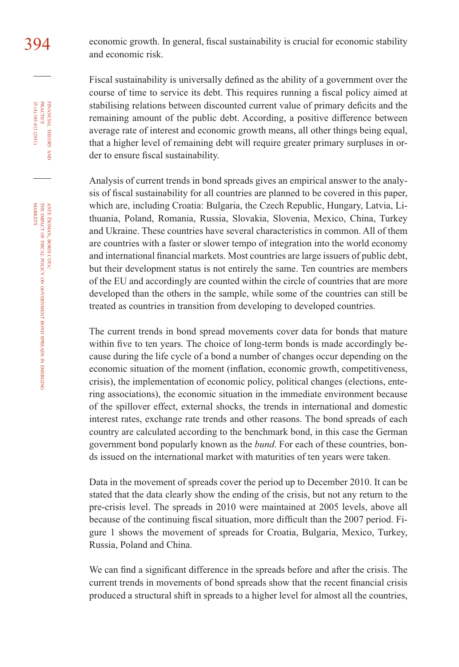394 economic growth. In general, fiscal sustainability is crucial for economic stability and economic risk.

> Fiscal sustainability is universally defined as the ability of a government over the course of time to service its debt. This requires running a fiscal policy aimed at stabilising relations between discounted current value of primary deficits and the remaining amount of the public debt. According, a positive difference between average rate of interest and economic growth means, all other things being equal, that a higher level of remaining debt will require greater primary surpluses in order to ensure fiscal sustainability.

> Analysis of current trends in bond spreads gives an empirical answer to the analysis of fiscal sustainability for all countries are planned to be covered in this paper, which are, including Croatia: Bulgaria, the Czech Republic, Hungary, Latvia, Lithuania, Poland, Romania, Russia, Slovakia, Slovenia, Mexico, China, Turkey and Ukraine. These countries have several characteristics in common. All of them are countries with a faster or slower tempo of integration into the world economy and international financial markets. Most countries are large issuers of public debt, but their development status is not entirely the same. Ten countries are members of the EU and accordingly are counted within the circle of countries that are more developed than the others in the sample, while some of the countries can still be treated as countries in transition from developing to developed countries.

> The current trends in bond spread movements cover data for bonds that mature within five to ten years. The choice of long-term bonds is made accordingly because during the life cycle of a bond a number of changes occur depending on the economic situation of the moment (inflation, economic growth, competitiveness, crisis), the implementation of economic policy, political changes (elections, entering associations), the economic situation in the immediate environment because of the spillover effect, external shocks, the trends in international and domestic interest rates, exchange rate trends and other reasons. The bond spreads of each country are calculated according to the benchmark bond, in this case the German government bond popularly known as the *bund*. For each of these countries, bonds issued on the international market with maturities of ten years were taken.

> Data in the movement of spreads cover the period up to December 2010. It can be stated that the data clearly show the ending of the crisis, but not any return to the pre-crisis level. The spreads in 2010 were maintained at 2005 levels, above all because of the continuing fiscal situation, more difficult than the 2007 period. Figure 1 shows the movement of spreads for Croatia, Bulgaria, Mexico, Turkey, Russia, Poland and China.

> We can find a significant difference in the spreads before and after the crisis. The current trends in movements of bond spreads show that the recent financial crisis produced a structural shift in spreads to a higher level for almost all the countries,

FINANCIAL

35 (4) 385-412 (2011)

THEORY FINANCIAL THEORY AND PRACTICE 35 (4) 385-412 (2011) PRACTICE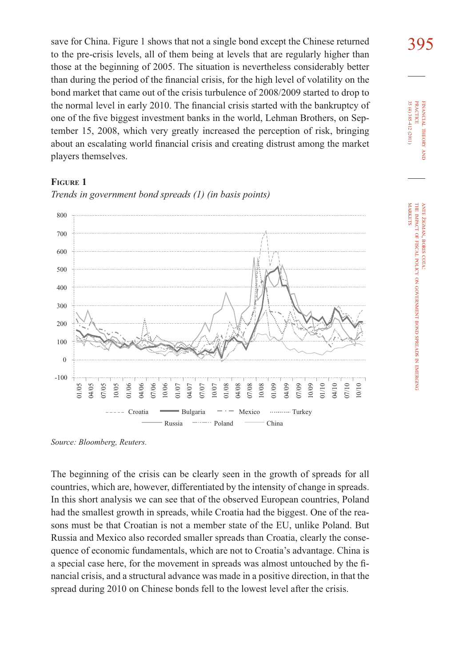save for China. Figure 1 shows that not a single bond except the Chinese returned  $395$ to the pre-crisis levels, all of them being at levels that are regularly higher than those at the beginning of 2005. The situation is nevertheless considerably better than during the period of the financial crisis, for the high level of volatility on the bond market that came out of the crisis turbulence of 2008/2009 started to drop to the normal level in early 2010. The financial crisis started with the bankruptcy of one of the five biggest investment banks in the world, Lehman Brothers, on September 15, 2008, which very greatly increased the perception of risk, bringing about an escalating world financial crisis and creating distrust among the market players themselves.

#### **FIGURE 1**



*Trends in government bond spreads (1) (in basis points)*

*Source: Bloomberg, Reuters.*

The beginning of the crisis can be clearly seen in the growth of spreads for all countries, which are, however, differentiated by the intensity of change in spreads. In this short analysis we can see that of the observed European countries, Poland had the smallest growth in spreads, while Croatia had the biggest. One of the reasons must be that Croatian is not a member state of the EU, unlike Poland. But Russia and Mexico also recorded smaller spreads than Croatia, clearly the consequence of economic fundamentals, which are not to Croatia's advantage. China is a special case here, for the movement in spreads was almost untouched by the financial crisis, and a structural advance was made in a positive direction, in that the spread during 2010 on Chinese bonds fell to the lowest level after the crisis.

35 (4) 385-412 (2011) **PRACTICE** PRACTICE FINANCIAL 35 (4) 385-412 (2011) FINANCIAL THEORY THEORY AND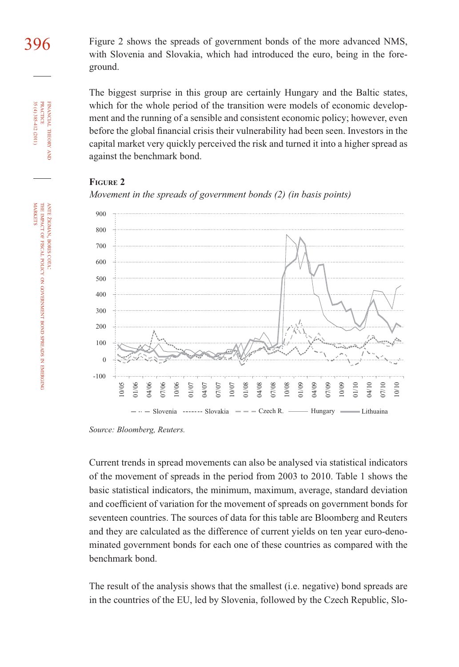396 Figure 2 shows the spreads of government bonds of the more advanced NMS, with Slovenia and Slovakia, which had introduced the euro, being in the foreground.

> The biggest surprise in this group are certainly Hungary and the Baltic states, which for the whole period of the transition were models of economic development and the running of a sensible and consistent economic policy; however, even before the global financial crisis their vulnerability had been seen. Investors in the capital market very quickly perceived the risk and turned it into a higher spread as against the benchmark bond.

#### **FIGURE 2**





*Source: Bloomberg, Reuters.*

Current trends in spread movements can also be analysed via statistical indicators of the movement of spreads in the period from 2003 to 2010. Table 1 shows the basic statistical indicators, the minimum, maximum, average, standard deviation and coefficient of variation for the movement of spreads on government bonds for seventeen countries. The sources of data for this table are Bloomberg and Reuters and they are calculated as the difference of current yields on ten year euro-denominated government bonds for each one of these countries as compared with the benchmark bond.

The result of the analysis shows that the smallest (i.e. negative) bond spreads are in the countries of the EU, led by Slovenia, followed by the Czech Republic, Slo-

z EMERGING FINANCIAL

35 (4) 385-412 (2011) PRACTICE

35 (4) 385-412 (2011) **PRACTICE** FINANCIAL THEORY

THEORY AND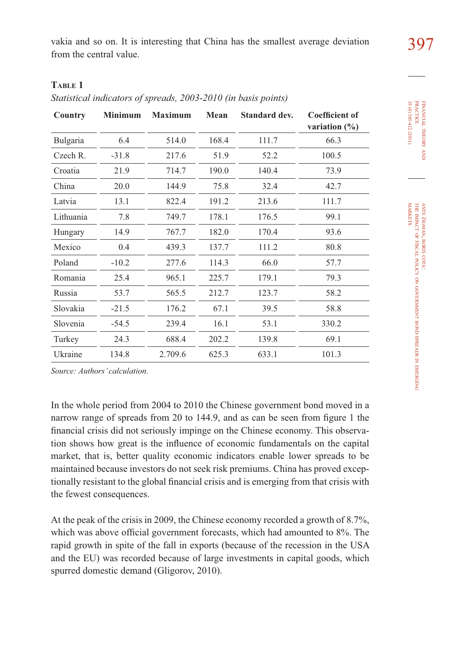vakia and so on. It is interesting that China has the smallest average deviation from the central value.

| ۰.<br>× | ۰, |  |
|---------|----|--|
|         |    |  |

#### **TABLE 1**

*Statistical indicators of spreads, 2003-2010 (in basis points)*

| Country   | <b>Minimum</b> | <b>Maximum</b> | Mean  | Standard dev. | <b>Coefficient of</b><br>variation $(\%)$ |
|-----------|----------------|----------------|-------|---------------|-------------------------------------------|
| Bulgaria  | 6.4            | 514.0          | 168.4 | 111.7         | 66.3                                      |
| Czech R.  | $-31.8$        | 217.6          | 51.9  | 52.2          | 100.5                                     |
| Croatia   | 21.9           | 714.7          | 190.0 | 140.4         | 73.9                                      |
| China     | 20.0           | 144.9          | 75.8  | 32.4          | 42.7                                      |
| Latvia    | 13.1           | 822.4          | 191.2 | 213.6         | 111.7                                     |
| Lithuania | 7.8            | 749.7          | 178.1 | 176.5         | 99.1                                      |
| Hungary   | 14.9           | 767.7          | 182.0 | 170.4         | 93.6                                      |
| Mexico    | 0.4            | 439.3          | 137.7 | 111.2         | 80.8                                      |
| Poland    | $-10.2$        | 277.6          | 114.3 | 66.0          | 57.7                                      |
| Romania   | 25.4           | 965.1          | 225.7 | 179.1         | 79.3                                      |
| Russia    | 53.7           | 565.5          | 212.7 | 123.7         | 58.2                                      |
| Slovakia  | $-21.5$        | 176.2          | 67.1  | 39.5          | 58.8                                      |
| Slovenia  | $-54.5$        | 239.4          | 16.1  | 53.1          | 330.2                                     |
| Turkey    | 24.3           | 688.4          | 202.2 | 139.8         | 69.1                                      |
| Ukraine   | 134.8          | 2.709.6        | 625.3 | 633.1         | 101.3                                     |

*Source: Authors' calculation.*

In the whole period from 2004 to 2010 the Chinese government bond moved in a narrow range of spreads from 20 to 144.9, and as can be seen from figure 1 the financial crisis did not seriously impinge on the Chinese economy. This observation shows how great is the influence of economic fundamentals on the capital market, that is, better quality economic indicators enable lower spreads to be maintained because investors do not seek risk premiums. China has proved exceptionally resistant to the global financial crisis and is emerging from that crisis with the fewest consequences.

At the peak of the crisis in 2009, the Chinese economy recorded a growth of 8.7%, which was above official government forecasts, which had amounted to 8%. The rapid growth in spite of the fall in exports (because of the recession in the USA and the EU) was recorded because of large investments in capital goods, which spurred domestic demand (Gligorov, 2010).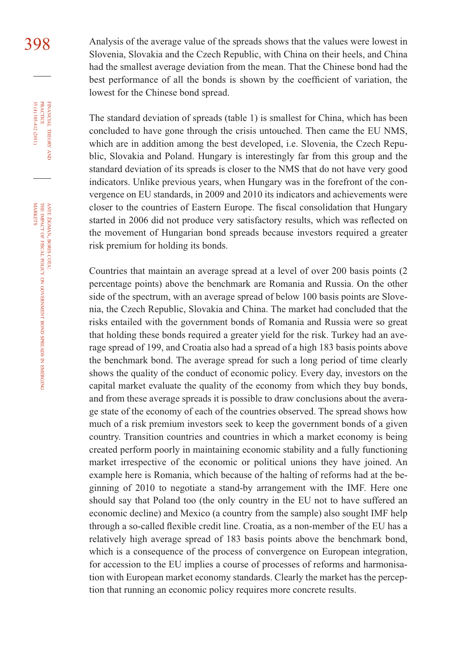398 Analysis of the average value of the spreads shows that the values were lowest in Slovenia, Slovakia and the Czech Republic, with China on their heels, and China had the smallest average deviation from the mean. That the Chinese bond had the best performance of all the bonds is shown by the coefficient of variation, the lowest for the Chinese bond spread.

> The standard deviation of spreads (table 1) is smallest for China, which has been concluded to have gone through the crisis untouched. Then came the EU NMS, which are in addition among the best developed, i.e. Slovenia, the Czech Republic, Slovakia and Poland. Hungary is interestingly far from this group and the standard deviation of its spreads is closer to the NMS that do not have very good indicators. Unlike previous years, when Hungary was in the forefront of the convergence on EU standards, in 2009 and 2010 its indicators and achievements were closer to the countries of Eastern Europe. The fiscal consolidation that Hungary started in 2006 did not produce very satisfactory results, which was reflected on the movement of Hungarian bond spreads because investors required a greater risk premium for holding its bonds.

> Countries that maintain an average spread at a level of over 200 basis points (2 percentage points) above the benchmark are Romania and Russia. On the other side of the spectrum, with an average spread of below 100 basis points are Slovenia, the Czech Republic, Slovakia and China. The market had concluded that the risks entailed with the government bonds of Romania and Russia were so great that holding these bonds required a greater yield for the risk. Turkey had an average spread of 199, and Croatia also had a spread of a high 183 basis points above the benchmark bond. The average spread for such a long period of time clearly shows the quality of the conduct of economic policy. Every day, investors on the capital market evaluate the quality of the economy from which they buy bonds, and from these average spreads it is possible to draw conclusions about the average state of the economy of each of the countries observed. The spread shows how much of a risk premium investors seek to keep the government bonds of a given country. Transition countries and countries in which a market economy is being created perform poorly in maintaining economic stability and a fully functioning market irrespective of the economic or political unions they have joined. An example here is Romania, which because of the halting of reforms had at the beginning of 2010 to negotiate a stand-by arrangement with the IMF. Here one should say that Poland too (the only country in the EU not to have suffered an economic decline) and Mexico (a country from the sample) also sought IMF help through a so-called flexible credit line. Croatia, as a non-member of the EU has a relatively high average spread of 183 basis points above the benchmark bond, which is a consequence of the process of convergence on European integration, for accession to the EU implies a course of processes of reforms and harmonisation with European market economy standards. Clearly the market has the perception that running an economic policy requires more concrete results.

FINANCIAL

35 (4) 385-412 (2011)

THEORY FINANCIAL THEORY AND PRACTICE 35 (4) 385-412 (2011) PRACTICE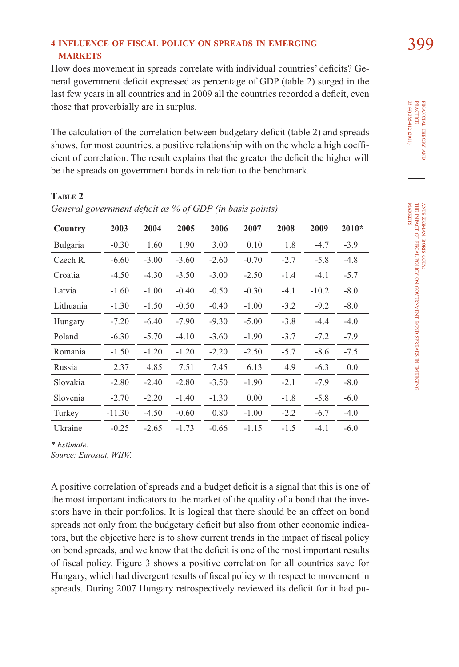#### **4 INFLUENCE OF FISCAL POLICY ON SPREADS IN EMERGING** 399 **MARKETS**

How does movement in spreads correlate with individual countries' deficits? General government deficit expressed as percentage of GDP (table 2) surged in the last few years in all countries and in 2009 all the countries recorded a deficit, even those that proverbially are in surplus.

The calculation of the correlation between budgetary deficit (table 2) and spreads shows, for most countries, a positive relationship with on the whole a high coefficient of correlation. The result explains that the greater the deficit the higher will be the spreads on government bonds in relation to the benchmark.

#### **TABLE 2**

| Country   | 2003     | 2004    | 2005    | 2006    | 2007    | 2008   | 2009    | $2010*$ |
|-----------|----------|---------|---------|---------|---------|--------|---------|---------|
| Bulgaria  | $-0.30$  | 1.60    | 1.90    | 3.00    | 0.10    | 1.8    | $-4.7$  | $-3.9$  |
| Czech R.  | $-6.60$  | $-3.00$ | $-3.60$ | $-2.60$ | $-0.70$ | $-2.7$ | $-5.8$  | $-4.8$  |
| Croatia   | $-4.50$  | $-4.30$ | $-3.50$ | $-3.00$ | $-2.50$ | $-1.4$ | $-4.1$  | $-5.7$  |
| Latvia    | $-1.60$  | $-1.00$ | $-0.40$ | $-0.50$ | $-0.30$ | $-4.1$ | $-10.2$ | $-8.0$  |
| Lithuania | $-1.30$  | $-1.50$ | $-0.50$ | $-0.40$ | $-1.00$ | $-3.2$ | $-9.2$  | $-8.0$  |
| Hungary   | $-7.20$  | $-6.40$ | $-7.90$ | $-9.30$ | $-5.00$ | $-3.8$ | $-4.4$  | $-4.0$  |
| Poland    | $-6.30$  | $-5.70$ | $-4.10$ | $-3.60$ | $-1.90$ | $-3.7$ | $-7.2$  | $-7.9$  |
| Romania   | $-1.50$  | $-1.20$ | $-1.20$ | $-2.20$ | $-2.50$ | $-5.7$ | $-8.6$  | $-7.5$  |
| Russia    | 2.37     | 4.85    | 7.51    | 7.45    | 6.13    | 4.9    | $-6.3$  | 0.0     |
| Slovakia  | $-2.80$  | $-2.40$ | $-2.80$ | $-3.50$ | $-1.90$ | $-2.1$ | $-7.9$  | $-8.0$  |
| Slovenia  | $-2.70$  | $-2.20$ | $-1.40$ | $-1.30$ | 0.00    | $-1.8$ | $-5.8$  | $-6.0$  |
| Turkey    | $-11.30$ | $-4.50$ | $-0.60$ | 0.80    | $-1.00$ | $-2.2$ | $-6.7$  | $-4.0$  |
| Ukraine   | $-0.25$  | $-2.65$ | $-1.73$ | $-0.66$ | $-1.15$ | $-1.5$ | $-4.1$  | $-6.0$  |

*General government deficit as % of GDP (in basis points)* 

*\* Estimate.*

*Source: Eurostat, WIIW.* 

A positive correlation of spreads and a budget deficit is a signal that this is one of the most important indicators to the market of the quality of a bond that the investors have in their portfolios. It is logical that there should be an effect on bond spreads not only from the budgetary deficit but also from other economic indicators, but the objective here is to show current trends in the impact of fiscal policy on bond spreads, and we know that the deficit is one of the most important results of fi scal policy. Figure 3 shows a positive correlation for all countries save for Hungary, which had divergent results of fiscal policy with respect to movement in spreads. During 2007 Hungary retrospectively reviewed its deficit for it had pu-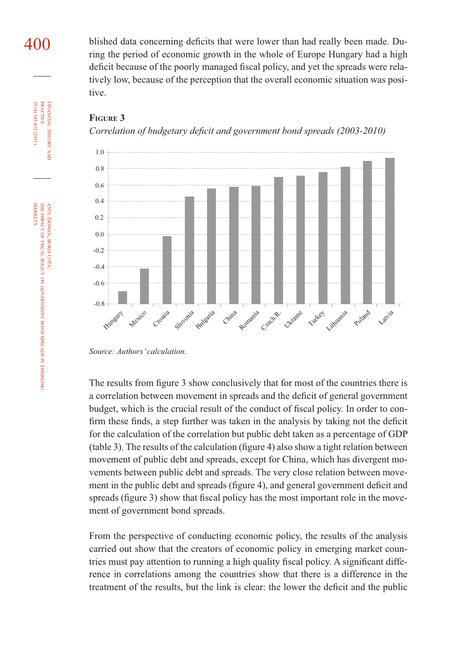blished data concerning deficits that were lower than had really been made. During the period of economic growth in the whole of Europe Hungary had a high deficit because of the poorly managed fiscal policy, and yet the spreads were relatively low, because of the perception that the overall economic situation was positive.



#### **FIGURE 3**

*Correlation of budgetary deficit and government bond spreads (2003-2010)* 

The results from figure 3 show conclusively that for most of the countries there is a correlation between movement in spreads and the deficit of general government budget, which is the crucial result of the conduct of fiscal policy. In order to confirm these finds, a step further was taken in the analysis by taking not the deficit for the calculation of the correlation but public debt taken as a percentage of GDP  $(table 3)$ . The results of the calculation (figure 4) also show a tight relation between movement of public debt and spreads, except for China, which has divergent movements between public debt and spreads. The very close relation between movement in the public debt and spreads (figure 4), and general government deficit and spreads (figure 3) show that fiscal policy has the most important role in the movement of government bond spreads.

From the perspective of conducting economic policy, the results of the analysis carried out show that the creators of economic policy in emerging market countries must pay attention to running a high quality fiscal policy. A significant difference in correlations among the countries show that there is a difference in the treatment of the results, but the link is clear: the lower the deficit and the public

FINANCIAL

FINANCIAL THEORY<br>PRACTICE 35 (4) 385-412 (2011)

35 (4) 385-412 (2011) PRACTICE

400

THEORY AND

*Source: Authors' calculation.*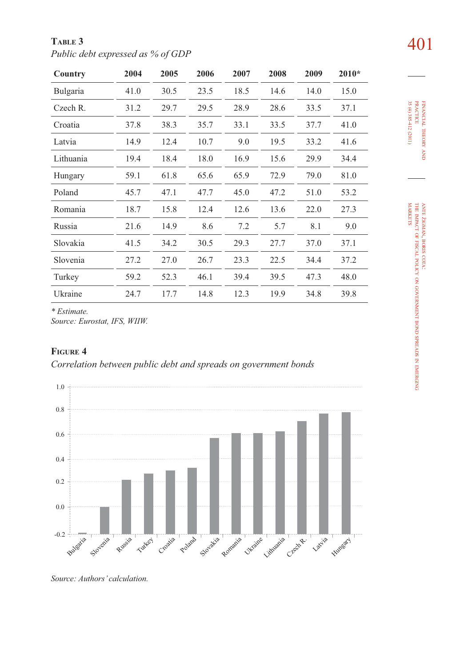| TABLE 3                           | 401 |
|-----------------------------------|-----|
| Public debt expressed as % of GDP |     |

| Country   | 2004 | 2005 | 2006 | 2007 | 2008 | 2009 | 2010* |
|-----------|------|------|------|------|------|------|-------|
| Bulgaria  | 41.0 | 30.5 | 23.5 | 18.5 | 14.6 | 14.0 | 15.0  |
| Czech R.  | 31.2 | 29.7 | 29.5 | 28.9 | 28.6 | 33.5 | 37.1  |
| Croatia   | 37.8 | 38.3 | 35.7 | 33.1 | 33.5 | 37.7 | 41.0  |
| Latvia    | 14.9 | 12.4 | 10.7 | 9.0  | 19.5 | 33.2 | 41.6  |
| Lithuania | 19.4 | 18.4 | 18.0 | 16.9 | 15.6 | 29.9 | 34.4  |
| Hungary   | 59.1 | 61.8 | 65.6 | 65.9 | 72.9 | 79.0 | 81.0  |
| Poland    | 45.7 | 47.1 | 47.7 | 45.0 | 47.2 | 51.0 | 53.2  |
| Romania   | 18.7 | 15.8 | 12.4 | 12.6 | 13.6 | 22.0 | 27.3  |
| Russia    | 21.6 | 14.9 | 8.6  | 7.2  | 5.7  | 8.1  | 9.0   |
| Slovakia  | 41.5 | 34.2 | 30.5 | 29.3 | 27.7 | 37.0 | 37.1  |
| Slovenia  | 27.2 | 27.0 | 26.7 | 23.3 | 22.5 | 34.4 | 37.2  |
| Turkey    | 59.2 | 52.3 | 46.1 | 39.4 | 39.5 | 47.3 | 48.0  |
| Ukraine   | 24.7 | 17.7 | 14.8 | 12.3 | 19.9 | 34.8 | 39.8  |

*\* Estimate.*

*Source: Eurostat, IFS, WIIW.* 

#### **FIGURE 4**

*Correlation between public debt and spreads on government bonds* 

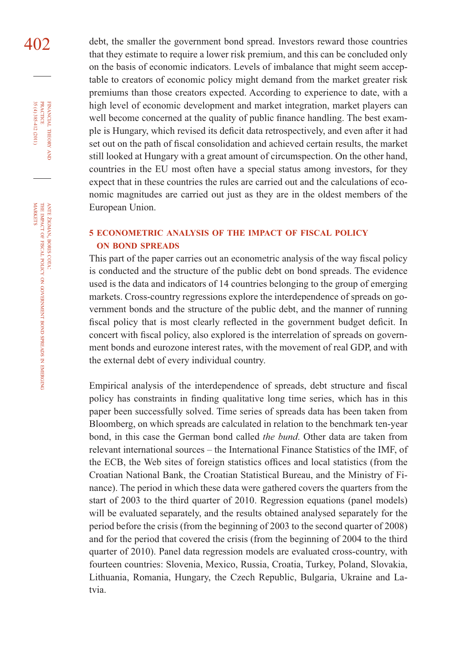402 debt, the smaller the government bond spread. Investors reward those countries that they estimate to require a lower risk premium, and this can be concluded only on the basis of economic indicators. Levels of imbalance that might seem acceptable to creators of economic policy might demand from the market greater risk premiums than those creators expected. According to experience to date, with a high level of economic development and market integration, market players can well become concerned at the quality of public finance handling. The best example is Hungary, which revised its deficit data retrospectively, and even after it had set out on the path of fiscal consolidation and achieved certain results, the market still looked at Hungary with a great amount of circumspection. On the other hand, countries in the EU most often have a special status among investors, for they expect that in these countries the rules are carried out and the calculations of economic magnitudes are carried out just as they are in the oldest members of the European Union.

#### **5 ECONOMETRIC ANALYSIS OF THE IMPACT OF FISCAL POLICY ON BOND SPREADS**

This part of the paper carries out an econometric analysis of the way fiscal policy is conducted and the structure of the public debt on bond spreads. The evidence used is the data and indicators of 14 countries belonging to the group of emerging markets. Cross-country regressions explore the interdependence of spreads on government bonds and the structure of the public debt, and the manner of running fiscal policy that is most clearly reflected in the government budget deficit. In concert with fiscal policy, also explored is the interrelation of spreads on government bonds and eurozone interest rates, with the movement of real GDP, and with the external debt of every individual country.

Empirical analysis of the interdependence of spreads, debt structure and fiscal policy has constraints in finding qualitative long time series, which has in this paper been successfully solved. Time series of spreads data has been taken from Bloomberg, on which spreads are calculated in relation to the benchmark ten-year bond, in this case the German bond called *the bund*. Other data are taken from relevant international sources – the International Finance Statistics of the IMF, of the ECB, the Web sites of foreign statistics offices and local statistics (from the Croatian National Bank, the Croatian Statistical Bureau, and the Ministry of Finance). The period in which these data were gathered covers the quarters from the start of 2003 to the third quarter of 2010. Regression equations (panel models) will be evaluated separately, and the results obtained analysed separately for the period before the crisis (from the beginning of 2003 to the second quarter of 2008) and for the period that covered the crisis (from the beginning of 2004 to the third quarter of 2010). Panel data regression models are evaluated cross-country, with fourteen countries: Slovenia, Mexico, Russia, Croatia, Turkey, Poland, Slovakia, Lithuania, Romania, Hungary, the Czech Republic, Bulgaria, Ukraine and Latvia.

FINANCIAL

35 (4) 385-412 (2011) PRACTICE

35 (4) 385-412 (2011)

THEORY

z EMERGING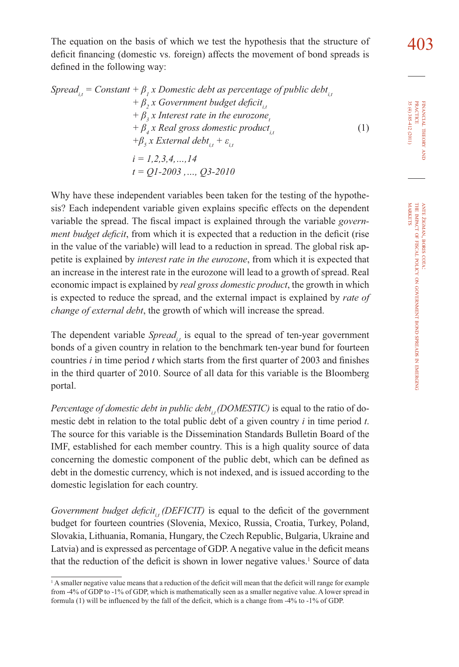The equation on the basis of which we test the hypothesis that the structure of  $\frac{403}{103}$ deficit financing (domestic vs. foreign) affects the movement of bond spreads is defined in the following way:

$$
Spread_{i,t} = Constant + \beta_{i} x \cdot Domain \times \beta_{i} x \cdot Boolean(\text{d}t) \times \beta_{i,t} + \beta_{i} x \cdot Boolean(\text{d}t) \times \beta_{i,t} + \beta_{i} x \cdot Linear \times \beta_{i,t} + \beta_{i} x \cdot Linear \times \beta_{i,t} + \beta_{i} x \cdot Real \times \beta_{i,t} + \beta_{i} x \cdot Recall \times \beta_{i,t} + \epsilon_{i,t} + \epsilon_{i,t} + \epsilon_{i,t} + \epsilon_{i,t} + \epsilon_{i,t} + \epsilon_{i,t} + \epsilon_{i,t} + \epsilon_{i,t} + \epsilon_{i,t} + \epsilon_{i,t} + \epsilon_{i,t} + \epsilon_{i,t} + \epsilon_{i,t} + \epsilon_{i,t} + \epsilon_{i,t} + \epsilon_{i,t} + \epsilon_{i,t} + \epsilon_{i,t} + \epsilon_{i,t} + \epsilon_{i,t} + \epsilon_{i,t} + \epsilon_{i,t} + \epsilon_{i,t} + \epsilon_{i,t} + \epsilon_{i,t} + \epsilon_{i,t} + \epsilon_{i,t} + \epsilon_{i,t} + \epsilon_{i,t} + \epsilon_{i,t} + \epsilon_{i,t} + \epsilon_{i,t} + \epsilon_{i,t} + \epsilon_{i,t} + \epsilon_{i,t} + \epsilon_{i,t} + \epsilon_{i,t} + \epsilon_{i,t} + \epsilon_{i,t} + \epsilon_{i,t} + \epsilon_{i,t} + \epsilon_{i,t} + \epsilon_{i,t} + \epsilon_{i,t} + \epsilon_{i,t} + \epsilon_{i,t} + \epsilon_{i,t} + \epsilon_{i,t} + \epsilon_{i,t} + \epsilon_{i,t} + \epsilon_{i,t} + \epsilon_{i,t} + \epsilon_{i,t} + \epsilon_{i,t} + \epsilon_{i,t} + \epsilon_{i,t} + \epsilon_{i,t} + \epsilon_{i,t} + \epsilon_{i,t} + \epsilon_{i,t} + \epsilon_{i,t} + \epsilon_{i,t} + \epsilon_{i,t} + \epsilon_{i,t} + \epsilon_{i,t} + \epsilon_{i,t} + \epsilon_{i,t} + \epsilon_{i,t} + \epsilon_{i,t} + \epsilon_{i,t} + \epsilon_{i,t} + \epsilon_{i,t} + \epsilon_{i,t} + \epsilon_{i,t} + \epsilon_{i,t} + \epsilon_{i,t} + \epsilon_{i,t} + \epsilon_{i,t} + \epsilon_{i,t} + \epsilon_{i,t} + \epsilon_{i,t} + \epsilon_{i,t} + \epsilon_{i,t} + \epsilon_{i,t} + \epsilon_{i,t} + \epsilon_{i,t} + \epsilon_{i,t} + \epsilon_{i,t} + \
$$

Why have these independent variables been taken for the testing of the hypothesis? Each independent variable given explains specific effects on the dependent variable the spread. The fiscal impact is explained through the variable *government budget deficit*, from which it is expected that a reduction in the deficit (rise in the value of the variable) will lead to a reduction in spread. The global risk appetite is explained by *interest rate in the eurozone*, from which it is expected that an increase in the interest rate in the eurozone will lead to a growth of spread. Real economic impact is explained by *real gross domestic product*, the growth in which is expected to reduce the spread, and the external impact is explained by *rate of change of external debt*, the growth of which will increase the spread.

The dependent variable  $S$ *pread*<sub> $i$ </sub>, is equal to the spread of ten-year government bonds of a given country in relation to the benchmark ten-year bund for fourteen countries  $i$  in time period  $t$  which starts from the first quarter of 2003 and finishes in the third quarter of 2010. Source of all data for this variable is the Bloomberg portal.

*Percentage of domestic debt in public debt<sub>ii</sub> (DOMESTIC)* is equal to the ratio of domestic debt in relation to the total public debt of a given country *i* in time period *t*. The source for this variable is the Dissemination Standards Bulletin Board of the IMF, established for each member country. This is a high quality source of data concerning the domestic component of the public debt, which can be defined as debt in the domestic currency, which is not indexed, and is issued according to the domestic legislation for each country.

*Government budget deficit<sub>i</sub> (DEFICIT)* is equal to the deficit of the government budget for fourteen countries (Slovenia, Mexico, Russia, Croatia, Turkey, Poland, Slovakia, Lithuania, Romania, Hungary, the Czech Republic, Bulgaria, Ukraine and Latvia) and is expressed as percentage of GDP. A negative value in the deficit means that the reduction of the deficit is shown in lower negative values.<sup>1</sup> Source of data

<sup>&</sup>lt;sup>1</sup> A smaller negative value means that a reduction of the deficit will mean that the deficit will range for example from -4% of GDP to -1% of GDP, which is mathematically seen as a smaller negative value. A lower spread in formula (1) will be influenced by the fall of the deficit, which is a change from -4% to -1% of GDP.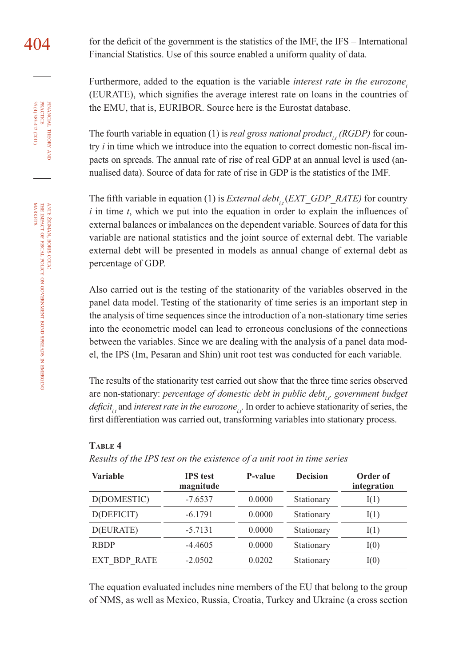$404$  for the deficit of the government is the statistics of the IMF, the IFS – International Financial Statistics. Use of this source enabled a uniform quality of data.

> Furthermore, added to the equation is the variable *interest rate in the eurozone*, (EURATE), which signifies the average interest rate on loans in the countries of the EMU, that is, EURIBOR. Source here is the Eurostat database.

> The fourth variable in equation (1) is *real gross national product<sub>i</sub> (RGDP)* for country *i* in time which we introduce into the equation to correct domestic non-fiscal impacts on spreads. The annual rate of rise of real GDP at an annual level is used (annualised data). Source of data for rate of rise in GDP is the statistics of the IMF.

> The fifth variable in equation (1) is *External debt<sub>it</sub>*(*EXT\_GDP\_RATE)* for country  $i$  in time  $t$ , which we put into the equation in order to explain the influences of external balances or imbalances on the dependent variable. Sources of data for this variable are national statistics and the joint source of external debt. The variable external debt will be presented in models as annual change of external debt as percentage of GDP.

> Also carried out is the testing of the stationarity of the variables observed in the panel data model. Testing of the stationarity of time series is an important step in the analysis of time sequences since the introduction of a non-stationary time series into the econometric model can lead to erroneous conclusions of the connections between the variables. Since we are dealing with the analysis of a panel data model, the IPS (Im, Pesaran and Shin) unit root test was conducted for each variable.

> The results of the stationarity test carried out show that the three time series observed are non-stationary: *percentage of domestic debt in public debt<sub>ir</sub>* government budget *deficit<sub>it</sub>* and *interest rate in the eurozone<sub>is</sub>*. In order to achieve stationarity of series, the first differentiation was carried out, transforming variables into stationary process.

#### **TABLE 4**

*Results of the IPS test on the existence of a unit root in time series*

| Variable            | <b>IPS</b> test<br>magnitude | P-value | <b>Decision</b> | Order of<br>integration |
|---------------------|------------------------------|---------|-----------------|-------------------------|
| D(DOMESTIC)         | $-7.6537$                    | 0.0000  | Stationary      | I(1)                    |
| D(DEFICIT)          | $-6.1791$                    | 0.0000  | Stationary      | I(1)                    |
| D(EURATE)           | $-5.7131$                    | 0.0000  | Stationary      | I(1)                    |
| <b>RBDP</b>         | $-4.4605$                    | 0.0000  | Stationary      | I(0)                    |
| <b>EXT BDP RATE</b> | $-2.0502$                    | 0.0202  | Stationary      | I(0)                    |

The equation evaluated includes nine members of the EU that belong to the group of NMS, as well as Mexico, Russia, Croatia, Turkey and Ukraine (a cross section

THEORY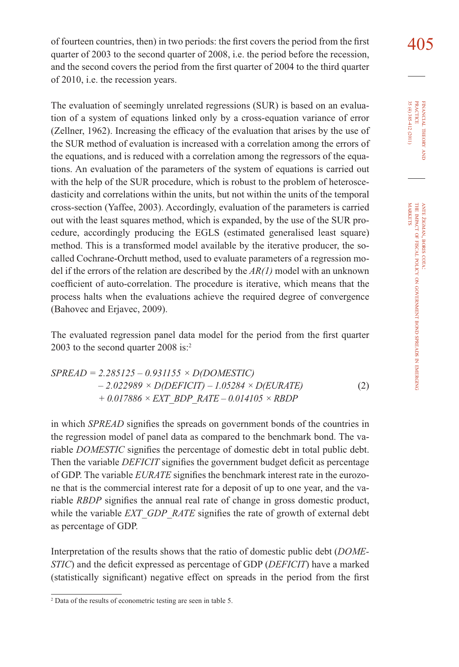of fourteen countries, then) in two periods: the first covers the period from the first  $405$ quarter of 2003 to the second quarter of 2008, i.e. the period before the recession, and the second covers the period from the first quarter of 2004 to the third quarter of 2010, i.e. the recession years.

The evaluation of seemingly unrelated regressions (SUR) is based on an evaluation of a system of equations linked only by a cross-equation variance of error (Zellner, 1962). Increasing the efficacy of the evaluation that arises by the use of the SUR method of evaluation is increased with a correlation among the errors of the equations, and is reduced with a correlation among the regressors of the equations. An evaluation of the parameters of the system of equations is carried out with the help of the SUR procedure, which is robust to the problem of heteroscedasticity and correlations within the units, but not within the units of the temporal cross-section (Yaffee, 2003). Accordingly, evaluation of the parameters is carried out with the least squares method, which is expanded, by the use of the SUR procedure, accordingly producing the EGLS (estimated generalised least square) method. This is a transformed model available by the iterative producer, the socalled Cochrane-Orchutt method, used to evaluate parameters of a regression model if the errors of the relation are described by the *AR(1)* model with an unknown coefficient of auto-correlation. The procedure is iterative, which means that the process halts when the evaluations achieve the required degree of convergence (Bahovec and Erjavec, 2009).

The evaluated regression panel data model for the period from the first quarter 2003 to the second quarter 2008 is:<sup>2</sup>

$$
SPREAD = 2.285125 - 0.931155 \times D(DOMESTIC)
$$
  
- 2.022989 \times D(DEFICIT) - 1.05284 \times D(EURATE)  
+ 0.017886 \times EXT BDP RATE - 0.014105 \times RBDP (2)

in which *SPREAD* signifies the spreads on government bonds of the countries in the regression model of panel data as compared to the benchmark bond. The variable *DOMESTIC* signifies the percentage of domestic debt in total public debt. Then the variable *DEFICIT* signifies the government budget deficit as percentage of GDP. The variable *EURATE* signifies the benchmark interest rate in the eurozone that is the commercial interest rate for a deposit of up to one year, and the variable *RBDP* signifies the annual real rate of change in gross domestic product, while the variable *EXT\_GDP\_RATE* signifies the rate of growth of external debt as percentage of GDP.

Interpretation of the results shows that the ratio of domestic public debt (*DOME-STIC*) and the deficit expressed as percentage of GDP (*DEFICIT*) have a marked (statistically significant) negative effect on spreads in the period from the first

<sup>2</sup> Data of the results of econometric testing are seen in table 5.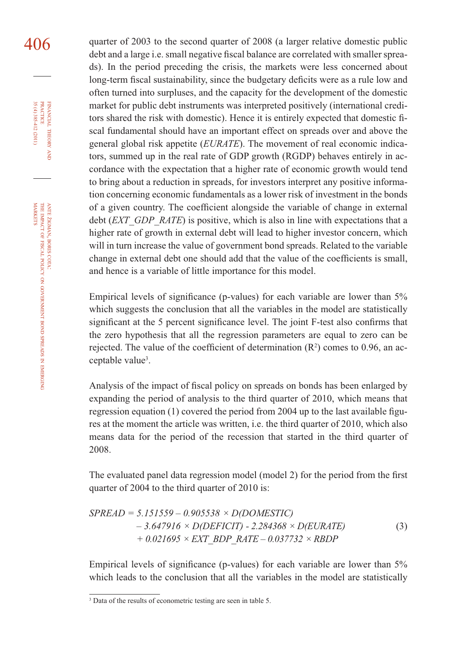406 quarter of 2003 to the second quarter of 2008 (a larger relative domestic public debt and a large i.e. small negative fiscal balance are correlated with smaller spreads). In the period preceding the crisis, the markets were less concerned about long-term fiscal sustainability, since the budgetary deficits were as a rule low and often turned into surpluses, and the capacity for the development of the domestic market for public debt instruments was interpreted positively (international creditors shared the risk with domestic). Hence it is entirely expected that domestic fiscal fundamental should have an important effect on spreads over and above the general global risk appetite (*EURATE*). The movement of real economic indicators, summed up in the real rate of GDP growth (RGDP) behaves entirely in accordance with the expectation that a higher rate of economic growth would tend to bring about a reduction in spreads, for investors interpret any positive information concerning economic fundamentals as a lower risk of investment in the bonds of a given country. The coefficient alongside the variable of change in external debt (*EXT\_GDP\_RATE*) is positive, which is also in line with expectations that a higher rate of growth in external debt will lead to higher investor concern, which will in turn increase the value of government bond spreads. Related to the variable change in external debt one should add that the value of the coefficients is small, and hence is a variable of little importance for this model.

> Empirical levels of significance (p-values) for each variable are lower than  $5\%$ which suggests the conclusion that all the variables in the model are statistically significant at the 5 percent significance level. The joint F-test also confirms that the zero hypothesis that all the regression parameters are equal to zero can be rejected. The value of the coefficient of determination  $(R^2)$  comes to 0.96, an acceptable value<sup>3</sup>.

> Analysis of the impact of fiscal policy on spreads on bonds has been enlarged by expanding the period of analysis to the third quarter of 2010, which means that regression equation  $(1)$  covered the period from 2004 up to the last available figures at the moment the article was written, i.e. the third quarter of 2010, which also means data for the period of the recession that started in the third quarter of 2008.

> The evaluated panel data regression model (model 2) for the period from the first quarter of 2004 to the third quarter of 2010 is:

> *SPREAD = 5.151559 – 0.905538 × D(DOMESTIC) – 3.647916 × D(DEFICIT) - 2.284368 × D(EURATE) + 0.021695 × EXT\_BDP\_RATE – 0.037732 × RBDP*  (3)

> Empirical levels of significance (p-values) for each variable are lower than  $5\%$ which leads to the conclusion that all the variables in the model are statistically

FINANCIAL

35 (4) 385-412 (2011) PRACTICE

35 (4) 385-412 (2011)

THEORY

ş

GOVERNMENT

BOND SPREADS z EMERGING

<sup>3</sup> Data of the results of econometric testing are seen in table 5.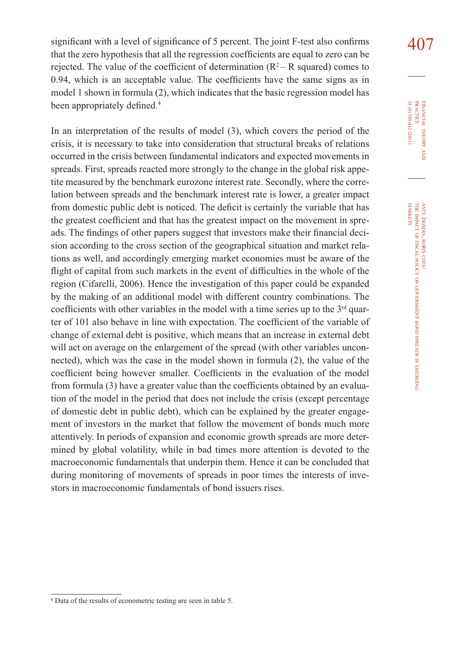significant with a level of significance of 5 percent. The joint F-test also confirms  $407$ that the zero hypothesis that all the regression coefficients are equal to zero can be rejected. The value of the coefficient of determination  $(R^2 - R$  squared) comes to  $0.94$ , which is an acceptable value. The coefficients have the same signs as in model 1 shown in formula (2), which indicates that the basic regression model has been appropriately defined.<sup>4</sup>

In an interpretation of the results of model (3), which covers the period of the crisis, it is necessary to take into consideration that structural breaks of relations occurred in the crisis between fundamental indicators and expected movements in spreads. First, spreads reacted more strongly to the change in the global risk appetite measured by the benchmark eurozone interest rate. Secondly, where the correlation between spreads and the benchmark interest rate is lower, a greater impact from domestic public debt is noticed. The deficit is certainly the variable that has the greatest coefficient and that has the greatest impact on the movement in spreads. The findings of other papers suggest that investors make their financial deci-sion according to the cross section of the geographical situation and market relations as well, and accordingly emerging market economies must be aware of the flight of capital from such markets in the event of difficulties in the whole of the region (Cifarelli, 2006). Hence the investigation of this paper could be expanded by the making of an additional model with different country combinations. The coefficients with other variables in the model with a time series up to the  $3<sup>rd</sup>$  quarter of 101 also behave in line with expectation. The coefficient of the variable of change of external debt is positive, which means that an increase in external debt will act on average on the enlargement of the spread (with other variables unconnected), which was the case in the model shown in formula (2), the value of the coefficient being however smaller. Coefficients in the evaluation of the model from formula (3) have a greater value than the coefficients obtained by an evaluation of the model in the period that does not include the crisis (except percentage of domestic debt in public debt), which can be explained by the greater engagement of investors in the market that follow the movement of bonds much more attentively. In periods of expansion and economic growth spreads are more determined by global volatility, while in bad times more attention is devoted to the macroeconomic fundamentals that underpin them. Hence it can be concluded that during monitoring of movements of spreads in poor times the interests of investors in macroeconomic fundamentals of bond issuers rises.

<sup>4</sup> Data of the results of econometric testing are seen in table 5.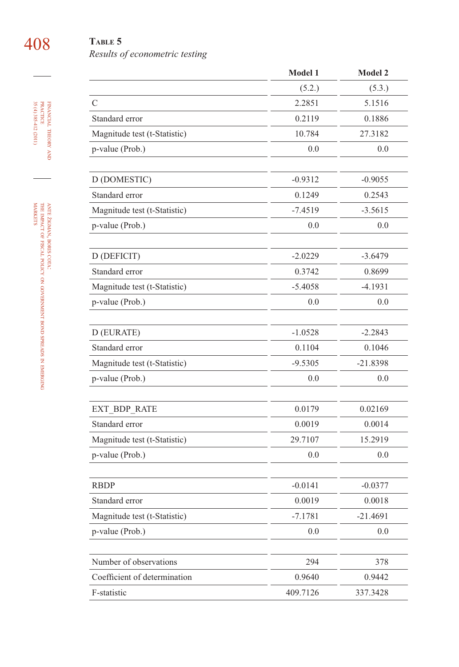## 408 **TABLE 5**

### FINANCIAL THEORY FINANCIAL THEORY AND<br>PRACTICE<br>35 (4) 385-412 (2011) 35 (4) 385-412 (2011) PRACTICE

| <b>TADLE</b> 2 |                                |  |
|----------------|--------------------------------|--|
|                | Results of econometric testing |  |

|                              | Model 1   | <b>Model 2</b> |
|------------------------------|-----------|----------------|
|                              | (5.2.)    | (5.3.)         |
| $\mathcal{C}$                | 2.2851    | 5.1516         |
| Standard error               | 0.2119    | 0.1886         |
| Magnitude test (t-Statistic) | 10.784    | 27.3182        |
| p-value (Prob.)              | 0.0       | 0.0            |
| D (DOMESTIC)                 | $-0.9312$ | $-0.9055$      |
| Standard error               | 0.1249    | 0.2543         |
| Magnitude test (t-Statistic) | $-7.4519$ | $-3.5615$      |
| p-value (Prob.)              | 0.0       | 0.0            |
|                              |           |                |
| D (DEFICIT)                  | $-2.0229$ | $-3.6479$      |
| Standard error               | 0.3742    | 0.8699         |
| Magnitude test (t-Statistic) | $-5.4058$ | $-4.1931$      |
| p-value (Prob.)              | 0.0       | 0.0            |
|                              |           |                |
| D (EURATE)                   | $-1.0528$ | $-2.2843$      |
| Standard error               | 0.1104    | 0.1046         |
| Magnitude test (t-Statistic) | $-9.5305$ | $-21.8398$     |
| p-value (Prob.)              | 0.0       | 0.0            |
| EXT BDP RATE                 | 0.0179    | 0.02169        |
| Standard error               | 0.0019    | 0.0014         |
| Magnitude test (t-Statistic) | 29.7107   | 15.2919        |
| p-value (Prob.)              | 0.0       | 0.0            |
|                              |           |                |
| <b>RBDP</b>                  | $-0.0141$ | $-0.0377$      |
| Standard error               | 0.0019    | 0.0018         |
| Magnitude test (t-Statistic) | $-7.1781$ | $-21.4691$     |
| p-value (Prob.)              | 0.0       | 0.0            |
| Number of observations       | 294       | 378            |
| Coefficient of determination | 0.9640    | 0.9442         |
| F-statistic                  | 409.7126  | 337.3428       |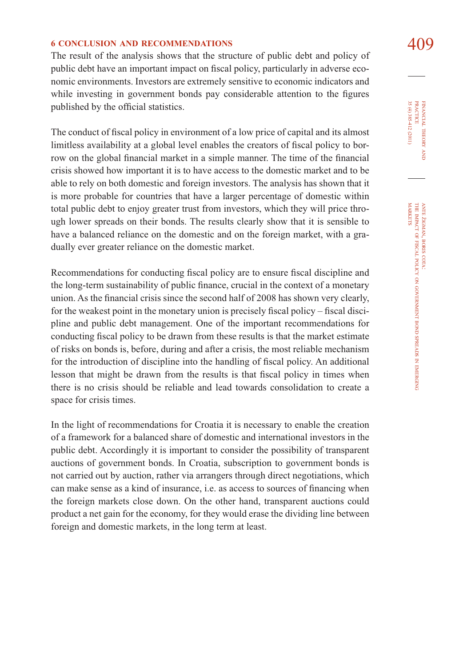#### **6** CONCLUSION AND RECOMMENDATIONS 409

The result of the analysis shows that the structure of public debt and policy of public debt have an important impact on fiscal policy, particularly in adverse economic environments. Investors are extremely sensitive to economic indicators and while investing in government bonds pay considerable attention to the figures published by the official statistics.

The conduct of fiscal policy in environment of a low price of capital and its almost limitless availability at a global level enables the creators of fiscal policy to borrow on the global financial market in a simple manner. The time of the financial crisis showed how important it is to have access to the domestic market and to be able to rely on both domestic and foreign investors. The analysis has shown that it is more probable for countries that have a larger percentage of domestic within total public debt to enjoy greater trust from investors, which they will price through lower spreads on their bonds. The results clearly show that it is sensible to have a balanced reliance on the domestic and on the foreign market, with a gradually ever greater reliance on the domestic market.

Recommendations for conducting fiscal policy are to ensure fiscal discipline and the long-term sustainability of public finance, crucial in the context of a monetary union. As the financial crisis since the second half of 2008 has shown very clearly, for the weakest point in the monetary union is precisely fiscal policy – fiscal discipline and public debt management. One of the important recommendations for conducting fiscal policy to be drawn from these results is that the market estimate of risks on bonds is, before, during and after a crisis, the most reliable mechanism for the introduction of discipline into the handling of fiscal policy. An additional lesson that might be drawn from the results is that fiscal policy in times when there is no crisis should be reliable and lead towards consolidation to create a space for crisis times.

In the light of recommendations for Croatia it is necessary to enable the creation of a framework for a balanced share of domestic and international investors in the public debt. Accordingly it is important to consider the possibility of transparent auctions of government bonds. In Croatia, subscription to government bonds is not carried out by auction, rather via arrangers through direct negotiations, which can make sense as a kind of insurance, i.e. as access to sources of financing when the foreign markets close down. On the other hand, transparent auctions could product a net gain for the economy, for they would erase the dividing line between foreign and domestic markets, in the long term at least.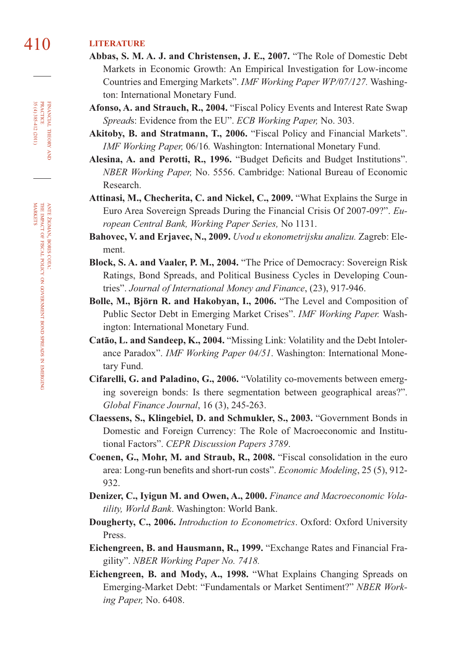#### 410 **LITERATURE**

- **Abbas, S. M. A. J. and Christensen, J. E., 2007.** "The Role of Domestic Debt Markets in Economic Growth: An Empirical Investigation for Low-income Countries and Emerging Markets". *IMF Working Paper WP/07/127.* Washington: International Monetary Fund.
- **Afonso, A. and Strauch, R., 2004.** "Fiscal Policy Events and Interest Rate Swap *Spread*s: Evidence from the EU". *ECB Working Paper,* No. 303.
- **Akitoby, B. and Stratmann, T., 2006.** "Fiscal Policy and Financial Markets". *IMF Working Paper,* 06/16*.* Washington: International Monetary Fund.
- Alesina, A. and Perotti, R., 1996. "Budget Deficits and Budget Institutions". *NBER Working Paper,* No. 5556. Cambridge: National Bureau of Economic Research.
- **Attinasi, M., Checherita, C. and Nickel, C., 2009.** "What Explains the Surge in Euro Area Sovereign Spreads During the Financial Crisis Of 2007-09?". *European Central Bank, Working Paper Series,* No 1131.
- **Bahovec, V. and Erjavec, N., 2009.** *Uvod u ekonometrijsku analizu.* Zagreb: Element.
- **Block, S. A. and Vaaler, P. M., 2004.** "The Price of Democracy: Sovereign Risk Ratings, Bond Spreads, and Political Business Cycles in Developing Countries". *Journal of International Money and Finance*, (23), 917-946.
- **Bolle, M., Björn R. and Hakobyan, I., 2006.** "The Level and Composition of Public Sector Debt in Emerging Market Crises". *IMF Working Paper.* Washington: International Monetary Fund.
- **Catão, L. and Sandeep, K., 2004.** "Missing Link: Volatility and the Debt Intolerance Paradox". *IMF Working Paper 04/51*. Washington: International Monetary Fund.
- **Cifarelli, G. and Paladino, G., 2006.** "Volatility co-movements between emerging sovereign bonds: Is there segmentation between geographical areas?". *Global Finance Journal*, 16 (3), 245-263.
- **Claessens, S., Klingebiel, D. and Schmukler, S., 2003.** "Government Bonds in Domestic and Foreign Currency: The Role of Macroeconomic and Institutional Factors". *CEPR Discussion Papers 3789*.
- **Coenen, G., Mohr, M. and Straub, R., 2008.** "Fiscal consolidation in the euro area: Long-run benefits and short-run costs". *Economic Modeling*, 25 (5), 912-932.
- **Denizer, C., Iyigun M. and Owen, A., 2000.** *Finance and Macroeconomic Volatility, World Bank*. Washington: World Bank.
- **Dougherty, C., 2006.** *Introduction to Econometrics*. Oxford: Oxford University Press.
- **Eichengreen, B. and Hausmann, R., 1999.** "Exchange Rates and Financial Fragility". *NBER Working Paper No. 7418.*
- **Eichengreen, B. and Mody, A., 1998.** "What Explains Changing Spreads on Emerging-Market Debt: "Fundamentals or Market Sentiment?" *NBER Working Paper,* No. 6408.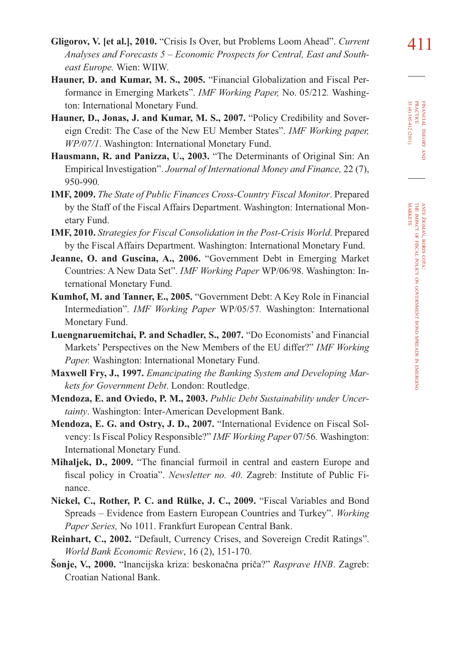- **Hauner, D. and Kumar, M. S., 2005.** "Financial Globalization and Fiscal Performance in Emerging Markets". *IMF Working Paper,* No. 05/212*.* Washington: International Monetary Fund.
- **Hauner, D., Jonas, J. and Kumar, M. S., 2007.** "Policy Credibility and Sovereign Credit: The Case of the New EU Member States". *IMF Working paper, WP/07/1*. Washington: International Monetary Fund.
- **Hausmann, R. and Panizza, U., 2003.** "The Determinants of Original Sin: An Empirical Investigation". *Journal of International Money and Finance,* 22 (7), 950-990*.*
- **IMF, 2009.** *The State of Public Finances Cross-Country Fiscal Monitor*. Prepared by the Staff of the Fiscal Affairs Department. Washington: International Monetary Fund.
- **IMF, 2010.** *Strategies for Fiscal Consolidation in the Post-Crisis World*. Prepared by the Fiscal Affairs Department. Washington: International Monetary Fund.
- **Jeanne, O. and Guscina, A., 2006.** "Government Debt in Emerging Market Countries: A New Data Set". *IMF Working Paper* WP/06/98. Washington: International Monetary Fund.
- **Kumhof, M. and Tanner, E., 2005.** "Government Debt: A Key Role in Financial Intermediation". *IMF Working Paper* WP/05/57*.* Washington: International Monetary Fund.
- **Luengnaruemitchai, P. and Schadler, S., 2007.** "Do Economists' and Financial Markets' Perspectives on the New Members of the EU differ?" *IMF Working Paper.* Washington: International Monetary Fund.
- **Maxwell Fry, J., 1997.** *Emancipating the Banking System and Developing Markets for Government Debt*. London: Routledge.
- **Mendoza, E. and Oviedo, P. M., 2003.** *Public Debt Sustainability under Uncertainty*. Washington: Inter-American Development Bank.
- **Mendoza, E. G. and Ostry, J. D., 2007.** "International Evidence on Fiscal Solvency: Is Fiscal Policy Responsible?" *IMF Working Paper* 07/56*.* Washington: International Monetary Fund.
- **Mihaljek, D., 2009.** "The financial furmoil in central and eastern Europe and fiscal policy in Croatia". *Newsletter no. 40.* Zagreb: Institute of Public Finance.
- **Nickel, C., Rother, P. C. and Rülke, J. C., 2009.** "Fiscal Variables and Bond Spreads – Evidence from Eastern European Countries and Turkey". *Working Paper Series,* No 1011. Frankfurt European Central Bank.
- **Reinhart, C., 2002.** "Default, Currency Crises, and Sovereign Credit Ratings". *World Bank Economic Review*, 16 (2), 151-170.
- **Šonje, V., 2000.** "Inancijska kriza: beskonačna priča?" *Rasprave HNB*. Zagreb: Croatian National Bank.